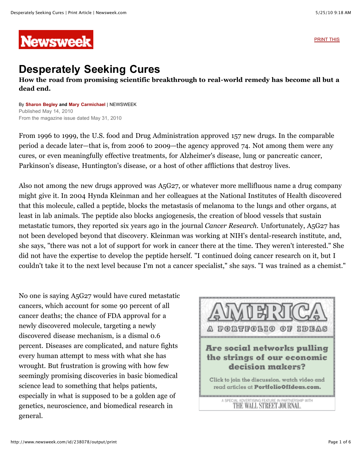**Newsweek** 

[PRINT THIS](javascript:window.print();)

## **Desperately Seeking Cures**

## **How the road from promising scientific breakthrough to real-world remedy has become all but a dead end.**

By **[Sharon Begley](http://www.newsweek.com/id/183003) and [Mary Carmichael](http://search.newsweek.com/search?byline=mary%20carmichael)** | NEWSWEEK Published May 14, 2010 From the magazine issue dated May 31, 2010

From 1996 to 1999, the U.S. food and Drug Administration approved 157 new drugs. In the comparable period a decade later—that is, from 2006 to 2009—the agency approved 74. Not among them were any cures, or even meaningfully effective treatments, for Alzheimer's disease, lung or pancreatic cancer, Parkinson's disease, Huntington's disease, or a host of other afflictions that destroy lives.

Also not among the new drugs approved was A5G27, or whatever more mellifluous name a drug company might give it. In 2004 Hynda Kleinman and her colleagues at the National Institutes of Health discovered that this molecule, called a peptide, blocks the metastasis of melanoma to the lungs and other organs, at least in lab animals. The peptide also blocks angiogenesis, the creation of blood vessels that sustain metastatic tumors, they reported six years ago in the journal *Cancer Research*. Unfortunately, A5G27 has not been developed beyond that discovery. Kleinman was working at NIH's dental-research institute, and, she says, "there was not a lot of support for work in cancer there at the time. They weren't interested." She did not have the expertise to develop the peptide herself. "I continued doing cancer research on it, but I couldn't take it to the next level because I'm not a cancer specialist," she says. "I was trained as a chemist."

No one is saying A5G27 would have cured metastatic cancers, which account for some 90 percent of all cancer deaths; the chance of FDA approval for a newly discovered molecule, targeting a newly discovered disease mechanism, is a dismal 0.6 percent. Diseases are complicated, and nature fights every human attempt to mess with what she has wrought. But frustration is growing with how few seemingly promising discoveries in basic biomedical science lead to something that helps patients, especially in what is supposed to be a golden age of genetics, neuroscience, and biomedical research in general.

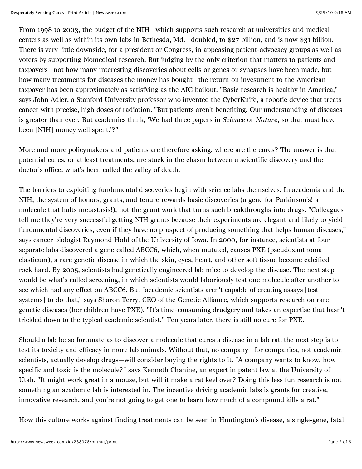From 1998 to 2003, the budget of the NIH—which supports such research at universities and medical centers as well as within its own labs in Bethesda, Md.—doubled, to \$27 billion, and is now \$31 billion. There is very little downside, for a president or Congress, in appeasing patient-advocacy groups as well as voters by supporting biomedical research. But judging by the only criterion that matters to patients and taxpayers—not how many interesting discoveries about cells or genes or synapses have been made, but how many treatments for diseases the money has bought—the return on investment to the American taxpayer has been approximately as satisfying as the AIG bailout. "Basic research is healthy in America," says John Adler, a Stanford University professor who invented the CyberKnife, a robotic device that treats cancer with precise, high doses of radiation. "But patients aren't benefiting. Our understanding of diseases is greater than ever. But academics think, 'We had three papers in *Science* or *Nature*, so that must have been [NIH] money well spent.'?"

More and more policymakers and patients are therefore asking, where are the cures? The answer is that potential cures, or at least treatments, are stuck in the chasm between a scientific discovery and the doctor's office: what's been called the valley of death.

The barriers to exploiting fundamental discoveries begin with science labs themselves. In academia and the NIH, the system of honors, grants, and tenure rewards basic discoveries (a gene for Parkinson's! a molecule that halts metastasis!), not the grunt work that turns such breakthroughs into drugs. "Colleagues tell me they're very successful getting NIH grants because their experiments are elegant and likely to yield fundamental discoveries, even if they have no prospect of producing something that helps human diseases," says cancer biologist Raymond Hohl of the University of Iowa. In 2000, for instance, scientists at four separate labs discovered a gene called ABCC6, which, when mutated, causes PXE (pseudoxanthoma elasticum), a rare genetic disease in which the skin, eyes, heart, and other soft tissue become calcified rock hard. By 2005, scientists had genetically engineered lab mice to develop the disease. The next step would be what's called screening, in which scientists would laboriously test one molecule after another to see which had any effect on ABCC6. But "academic scientists aren't capable of creating assays [test systems] to do that," says Sharon Terry, CEO of the Genetic Alliance, which supports research on rare genetic diseases (her children have PXE). "It's time-consuming drudgery and takes an expertise that hasn't trickled down to the typical academic scientist." Ten years later, there is still no cure for PXE.

Should a lab be so fortunate as to discover a molecule that cures a disease in a lab rat, the next step is to test its toxicity and efficacy in more lab animals. Without that, no company—for companies, not academic scientists, actually develop drugs—will consider buying the rights to it. "A company wants to know, how specific and toxic is the molecule?" says Kenneth Chahine, an expert in patent law at the University of Utah. "It might work great in a mouse, but will it make a rat keel over? Doing this less fun research is not something an academic lab is interested in. The incentive driving academic labs is grants for creative, innovative research, and you're not going to get one to learn how much of a compound kills a rat."

How this culture works against finding treatments can be seen in Huntington's disease, a single-gene, fatal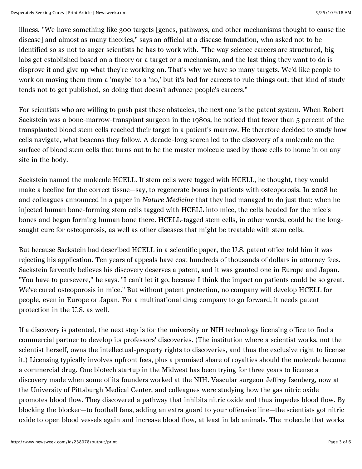illness. "We have something like 300 targets [genes, pathways, and other mechanisms thought to cause the disease] and almost as many theories," says an official at a disease foundation, who asked not to be identified so as not to anger scientists he has to work with. "The way science careers are structured, big labs get established based on a theory or a target or a mechanism, and the last thing they want to do is disprove it and give up what they're working on. That's why we have so many targets. We'd like people to work on moving them from a 'maybe' to a 'no,' but it's bad for careers to rule things out: that kind of study tends not to get published, so doing that doesn't advance people's careers."

For scientists who are willing to push past these obstacles, the next one is the patent system. When Robert Sackstein was a bone-marrow-transplant surgeon in the 1980s, he noticed that fewer than 5 percent of the transplanted blood stem cells reached their target in a patient's marrow. He therefore decided to study how cells navigate, what beacons they follow. A decade-long search led to the discovery of a molecule on the surface of blood stem cells that turns out to be the master molecule used by those cells to home in on any site in the body.

Sackstein named the molecule HCELL. If stem cells were tagged with HCELL, he thought, they would make a beeline for the correct tissue—say, to regenerate bones in patients with osteoporosis. In 2008 he and colleagues announced in a paper in *Nature Medicine* that they had managed to do just that: when he injected human bone-forming stem cells tagged with HCELL into mice, the cells headed for the mice's bones and began forming human bone there. HCELL-tagged stem cells, in other words, could be the longsought cure for osteoporosis, as well as other diseases that might be treatable with stem cells.

But because Sackstein had described HCELL in a scientific paper, the U.S. patent office told him it was rejecting his application. Ten years of appeals have cost hundreds of thousands of dollars in attorney fees. Sackstein fervently believes his discovery deserves a patent, and it was granted one in Europe and Japan. "You have to persevere," he says. "I can't let it go, because I think the impact on patients could be so great. We've cured osteoporosis in mice." But without patent protection, no company will develop HCELL for people, even in Europe or Japan. For a multinational drug company to go forward, it needs patent protection in the U.S. as well.

If a discovery is patented, the next step is for the university or NIH technology licensing office to find a commercial partner to develop its professors' discoveries. (The institution where a scientist works, not the scientist herself, owns the intellectual-property rights to discoveries, and thus the exclusive right to license it.) Licensing typically involves upfront fees, plus a promised share of royalties should the molecule become a commercial drug. One biotech startup in the Midwest has been trying for three years to license a discovery made when some of its founders worked at the NIH. Vascular surgeon Jeffrey Isenberg, now at the University of Pittsburgh Medical Center, and colleagues were studying how the gas nitric oxide promotes blood flow. They discovered a pathway that inhibits nitric oxide and thus impedes blood flow. By blocking the blocker—to football fans, adding an extra guard to your offensive line—the scientists got nitric oxide to open blood vessels again and increase blood flow, at least in lab animals. The molecule that works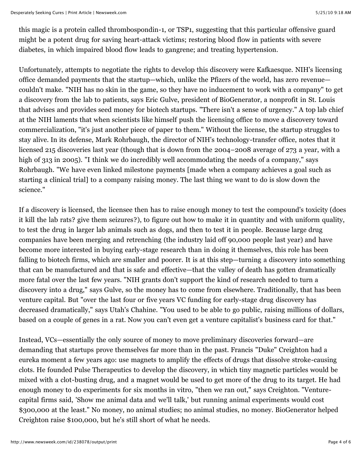this magic is a protein called thrombospondin-1, or TSP1, suggesting that this particular offensive guard might be a potent drug for saving heart-attack victims; restoring blood flow in patients with severe diabetes, in which impaired blood flow leads to gangrene; and treating hypertension.

Unfortunately, attempts to negotiate the rights to develop this discovery were Kafkaesque. NIH's licensing office demanded payments that the startup—which, unlike the Pfizers of the world, has zero revenue couldn't make. "NIH has no skin in the game, so they have no inducement to work with a company" to get a discovery from the lab to patients, says Eric Gulve, president of BioGenerator, a nonprofit in St. Louis that advises and provides seed money for biotech startups. "There isn't a sense of urgency." A top lab chief at the NIH laments that when scientists like himself push the licensing office to move a discovery toward commercialization, "it's just another piece of paper to them." Without the license, the startup struggles to stay alive. In its defense, Mark Rohrbaugh, the director of NIH's technology-transfer office, notes that it licensed 215 discoveries last year (though that is down from the 2004–2008 average of 273 a year, with a high of 313 in 2005). "I think we do incredibly well accommodating the needs of a company," says Rohrbaugh. "We have even linked milestone payments [made when a company achieves a goal such as starting a clinical trial] to a company raising money. The last thing we want to do is slow down the science."

If a discovery is licensed, the licensee then has to raise enough money to test the compound's toxicity (does it kill the lab rats? give them seizures?), to figure out how to make it in quantity and with uniform quality, to test the drug in larger lab animals such as dogs, and then to test it in people. Because large drug companies have been merging and retrenching (the industry laid off 90,000 people last year) and have become more interested in buying early-stage research than in doing it themselves, this role has been falling to biotech firms, which are smaller and poorer. It is at this step—turning a discovery into something that can be manufactured and that is safe and effective—that the valley of death has gotten dramatically more fatal over the last few years. "NIH grants don't support the kind of research needed to turn a discovery into a drug," says Gulve, so the money has to come from elsewhere. Traditionally, that has been venture capital. But "over the last four or five years VC funding for early-stage drug discovery has decreased dramatically," says Utah's Chahine. "You used to be able to go public, raising millions of dollars, based on a couple of genes in a rat. Now you can't even get a venture capitalist's business card for that."

Instead, VCs—essentially the only source of money to move preliminary discoveries forward—are demanding that startups prove themselves far more than in the past. Francis "Duke" Creighton had a eureka moment a few years ago: use magnets to amplify the effects of drugs that dissolve stroke-causing clots. He founded Pulse Therapeutics to develop the discovery, in which tiny magnetic particles would be mixed with a clot-busting drug, and a magnet would be used to get more of the drug to its target. He had enough money to do experiments for six months in vitro, "then we ran out," says Creighton. "Venturecapital firms said, 'Show me animal data and we'll talk,' but running animal experiments would cost \$300,000 at the least." No money, no animal studies; no animal studies, no money. BioGenerator helped Creighton raise \$100,000, but he's still short of what he needs.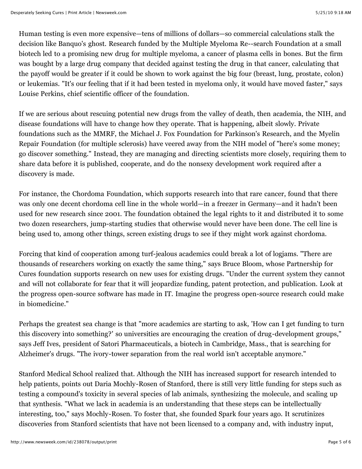Human testing is even more expensive—tens of millions of dollars—so commercial calculations stalk the decision like Banquo's ghost. Research funded by the Multiple Myeloma Re--search Foundation at a small biotech led to a promising new drug for multiple myeloma, a cancer of plasma cells in bones. But the firm was bought by a large drug company that decided against testing the drug in that cancer, calculating that the payoff would be greater if it could be shown to work against the big four (breast, lung, prostate, colon) or leukemias. "It's our feeling that if it had been tested in myeloma only, it would have moved faster," says Louise Perkins, chief scientific officer of the foundation.

If we are serious about rescuing potential new drugs from the valley of death, then academia, the NIH, and disease foundations will have to change how they operate. That is happening, albeit slowly. Private foundations such as the MMRF, the Michael J. Fox Foundation for Parkinson's Research, and the Myelin Repair Foundation (for multiple sclerosis) have veered away from the NIH model of "here's some money; go discover something." Instead, they are managing and directing scientists more closely, requiring them to share data before it is published, cooperate, and do the nonsexy development work required after a discovery is made.

For instance, the Chordoma Foundation, which supports research into that rare cancer, found that there was only one decent chordoma cell line in the whole world—in a freezer in Germany—and it hadn't been used for new research since 2001. The foundation obtained the legal rights to it and distributed it to some two dozen researchers, jump-starting studies that otherwise would never have been done. The cell line is being used to, among other things, screen existing drugs to see if they might work against chordoma.

Forcing that kind of cooperation among turf-jealous academics could break a lot of logjams. "There are thousands of researchers working on exactly the same thing," says Bruce Bloom, whose Partnership for Cures foundation supports research on new uses for existing drugs. "Under the current system they cannot and will not collaborate for fear that it will jeopardize funding, patent protection, and publication. Look at the progress open-source software has made in IT. Imagine the progress open-source research could make in biomedicine."

Perhaps the greatest sea change is that "more academics are starting to ask, 'How can I get funding to turn this discovery into something?' so universities are encouraging the creation of drug-development groups," says Jeff Ives, president of Satori Pharmaceuticals, a biotech in Cambridge, Mass., that is searching for Alzheimer's drugs. "The ivory-tower separation from the real world isn't acceptable anymore."

Stanford Medical School realized that. Although the NIH has increased support for research intended to help patients, points out Daria Mochly-Rosen of Stanford, there is still very little funding for steps such as testing a compound's toxicity in several species of lab animals, synthesizing the molecule, and scaling up that synthesis. "What we lack in academia is an understanding that these steps can be intellectually interesting, too," says Mochly-Rosen. To foster that, she founded Spark four years ago. It scrutinizes discoveries from Stanford scientists that have not been licensed to a company and, with industry input,